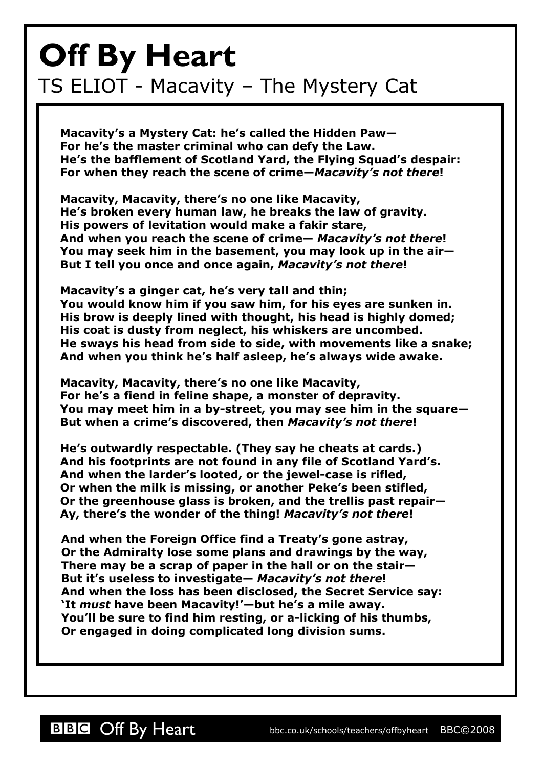## **Off By Heart** TS ELIOT - Macavity – The Mystery Cat

**Macavity's a Mystery Cat: he's called the Hidden Paw— For he's the master criminal who can defy the Law. He's the bafflement of Scotland Yard, the Flying Squad's despair: For when they reach the scene of crime—***Macavity's not there***!**

**Macavity, Macavity, there's no one like Macavity, He's broken every human law, he breaks the law of gravity. His powers of levitation would make a fakir stare, And when you reach the scene of crime—** *Macavity's not there***! You may seek him in the basement, you may look up in the air— But I tell you once and once again,** *Macavity's not there***!**

**Macavity's a ginger cat, he's very tall and thin; You would know him if you saw him, for his eyes are sunken in. His brow is deeply lined with thought, his head is highly domed; His coat is dusty from neglect, his whiskers are uncombed. He sways his head from side to side, with movements like a snake; And when you think he's half asleep, he's always wide awake.**

**Macavity, Macavity, there's no one like Macavity, For he's a fiend in feline shape, a monster of depravity. You may meet him in a by-street, you may see him in the square— But when a crime's discovered, then** *Macavity's not there***!**

**He's outwardly respectable. (They say he cheats at cards.) And his footprints are not found in any file of Scotland Yard's. And when the larder's looted, or the jewel-case is rifled, Or when the milk is missing, or another Peke's been stifled, Or the greenhouse glass is broken, and the trellis past repair— Ay, there's the wonder of the thing!** *Macavity's not there***!**

**And when the Foreign Office find a Treaty's gone astray, Or the Admiralty lose some plans and drawings by the way, There may be a scrap of paper in the hall or on the stair— But it's useless to investigate—** *Macavity's not there***! And when the loss has been disclosed, the Secret Service say: 'It** *must* **have been Macavity!'—but he's a mile away. You'll be sure to find him resting, or a-licking of his thumbs, Or engaged in doing complicated long division sums.**